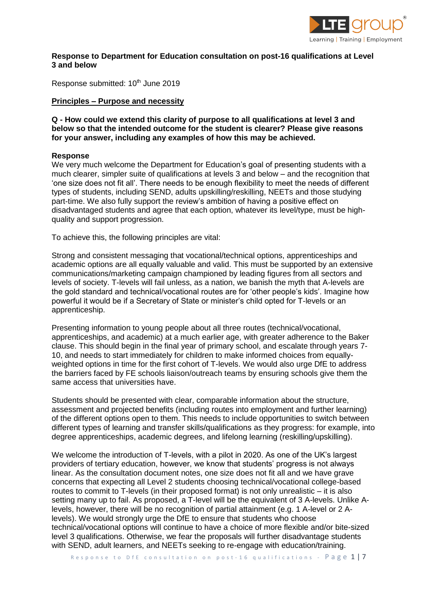

#### **Response to Department for Education consultation on post-16 qualifications at Level 3 and below**

Response submitted: 10<sup>th</sup> June 2019

#### **Principles – Purpose and necessity**

**Q - How could we extend this clarity of purpose to all qualifications at level 3 and below so that the intended outcome for the student is clearer? Please give reasons for your answer, including any examples of how this may be achieved.**

#### **Response**

We very much welcome the Department for Education's goal of presenting students with a much clearer, simpler suite of qualifications at levels 3 and below – and the recognition that 'one size does not fit all'. There needs to be enough flexibility to meet the needs of different types of students, including SEND, adults upskilling/reskilling, NEETs and those studying part-time. We also fully support the review's ambition of having a positive effect on disadvantaged students and agree that each option, whatever its level/type, must be highquality and support progression.

To achieve this, the following principles are vital:

Strong and consistent messaging that vocational/technical options, apprenticeships and academic options are all equally valuable and valid. This must be supported by an extensive communications/marketing campaign championed by leading figures from all sectors and levels of society. T-levels will fail unless, as a nation, we banish the myth that A-levels are the gold standard and technical/vocational routes are for 'other people's kids'. Imagine how powerful it would be if a Secretary of State or minister's child opted for T-levels or an apprenticeship.

Presenting information to young people about all three routes (technical/vocational, apprenticeships, and academic) at a much earlier age, with greater adherence to the Baker clause. This should begin in the final year of primary school, and escalate through years 7- 10, and needs to start immediately for children to make informed choices from equallyweighted options in time for the first cohort of T-levels. We would also urge DfE to address the barriers faced by FE schools liaison/outreach teams by ensuring schools give them the same access that universities have.

Students should be presented with clear, comparable information about the structure, assessment and projected benefits (including routes into employment and further learning) of the different options open to them. This needs to include opportunities to switch between different types of learning and transfer skills/qualifications as they progress: for example, into degree apprenticeships, academic degrees, and lifelong learning (reskilling/upskilling).

We welcome the introduction of T-levels, with a pilot in 2020. As one of the UK's largest providers of tertiary education, however, we know that students' progress is not always linear. As the consultation document notes, one size does not fit all and we have grave concerns that expecting all Level 2 students choosing technical/vocational college-based routes to commit to T-levels (in their proposed format) is not only unrealistic – it is also setting many up to fail. As proposed, a T-level will be the equivalent of 3 A-levels. Unlike Alevels, however, there will be no recognition of partial attainment (e.g. 1 A-level or 2 Alevels). We would strongly urge the DfE to ensure that students who choose technical/vocational options will continue to have a choice of more flexible and/or bite-sized level 3 qualifications. Otherwise, we fear the proposals will further disadvantage students with SEND, adult learners, and NEETs seeking to re-engage with education/training.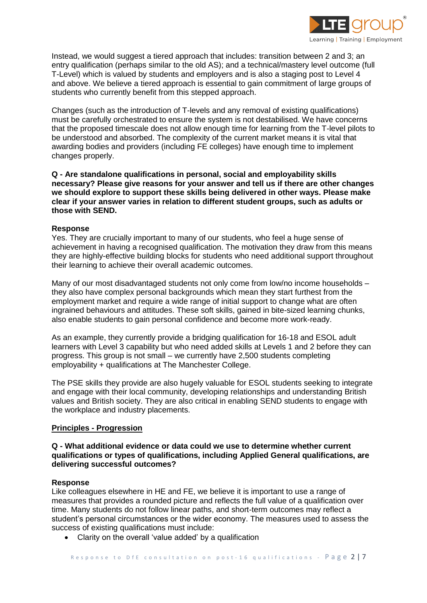

Instead, we would suggest a tiered approach that includes: transition between 2 and 3; an entry qualification (perhaps similar to the old AS); and a technical/mastery level outcome (full T-Level) which is valued by students and employers and is also a staging post to Level 4 and above. We believe a tiered approach is essential to gain commitment of large groups of students who currently benefit from this stepped approach.

Changes (such as the introduction of T-levels and any removal of existing qualifications) must be carefully orchestrated to ensure the system is not destabilised. We have concerns that the proposed timescale does not allow enough time for learning from the T-level pilots to be understood and absorbed. The complexity of the current market means it is vital that awarding bodies and providers (including FE colleges) have enough time to implement changes properly.

**Q - Are standalone qualifications in personal, social and employability skills necessary? Please give reasons for your answer and tell us if there are other changes we should explore to support these skills being delivered in other ways. Please make clear if your answer varies in relation to different student groups, such as adults or those with SEND.**

## **Response**

Yes. They are crucially important to many of our students, who feel a huge sense of achievement in having a recognised qualification. The motivation they draw from this means they are highly-effective building blocks for students who need additional support throughout their learning to achieve their overall academic outcomes.

Many of our most disadvantaged students not only come from low/no income households – they also have complex personal backgrounds which mean they start furthest from the employment market and require a wide range of initial support to change what are often ingrained behaviours and attitudes. These soft skills, gained in bite-sized learning chunks, also enable students to gain personal confidence and become more work-ready.

As an example, they currently provide a bridging qualification for 16-18 and ESOL adult learners with Level 3 capability but who need added skills at Levels 1 and 2 before they can progress. This group is not small – we currently have 2,500 students completing employability + qualifications at The Manchester College.

The PSE skills they provide are also hugely valuable for ESOL students seeking to integrate and engage with their local community, developing relationships and understanding British values and British society. They are also critical in enabling SEND students to engage with the workplace and industry placements.

# **Principles - Progression**

## **Q - What additional evidence or data could we use to determine whether current qualifications or types of qualifications, including Applied General qualifications, are delivering successful outcomes?**

#### **Response**

Like colleagues elsewhere in HE and FE, we believe it is important to use a range of measures that provides a rounded picture and reflects the full value of a qualification over time. Many students do not follow linear paths, and short-term outcomes may reflect a student's personal circumstances or the wider economy. The measures used to assess the success of existing qualifications must include:

Clarity on the overall 'value added' by a qualification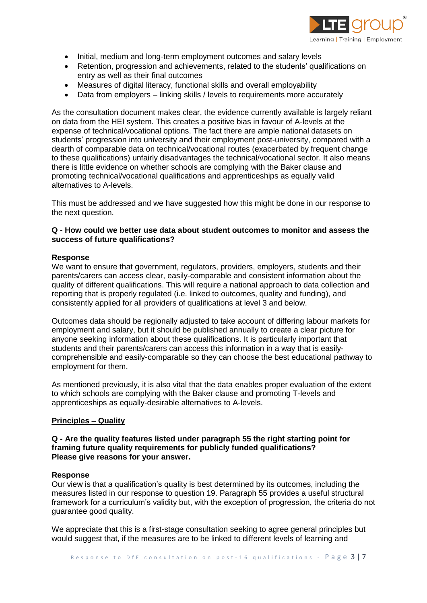

- Initial, medium and long-term employment outcomes and salary levels
- Retention, progression and achievements, related to the students' qualifications on entry as well as their final outcomes
- Measures of digital literacy, functional skills and overall employability
- Data from employers linking skills / levels to requirements more accurately

As the consultation document makes clear, the evidence currently available is largely reliant on data from the HEI system. This creates a positive bias in favour of A-levels at the expense of technical/vocational options. The fact there are ample national datasets on students' progression into university and their employment post-university, compared with a dearth of comparable data on technical/vocational routes (exacerbated by frequent change to these qualifications) unfairly disadvantages the technical/vocational sector. It also means there is little evidence on whether schools are complying with the Baker clause and promoting technical/vocational qualifications and apprenticeships as equally valid alternatives to A-levels.

This must be addressed and we have suggested how this might be done in our response to the next question.

## **Q - How could we better use data about student outcomes to monitor and assess the success of future qualifications?**

#### **Response**

We want to ensure that government, regulators, providers, employers, students and their parents/carers can access clear, easily-comparable and consistent information about the quality of different qualifications. This will require a national approach to data collection and reporting that is properly regulated (i.e. linked to outcomes, quality and funding), and consistently applied for all providers of qualifications at level 3 and below.

Outcomes data should be regionally adjusted to take account of differing labour markets for employment and salary, but it should be published annually to create a clear picture for anyone seeking information about these qualifications. It is particularly important that students and their parents/carers can access this information in a way that is easilycomprehensible and easily-comparable so they can choose the best educational pathway to employment for them.

As mentioned previously, it is also vital that the data enables proper evaluation of the extent to which schools are complying with the Baker clause and promoting T-levels and apprenticeships as equally-desirable alternatives to A-levels.

#### **Principles – Quality**

## **Q - Are the quality features listed under paragraph 55 the right starting point for framing future quality requirements for publicly funded qualifications? Please give reasons for your answer.**

#### **Response**

Our view is that a qualification's quality is best determined by its outcomes, including the measures listed in our response to question 19. Paragraph 55 provides a useful structural framework for a curriculum's validity but, with the exception of progression, the criteria do not guarantee good quality.

We appreciate that this is a first-stage consultation seeking to agree general principles but would suggest that, if the measures are to be linked to different levels of learning and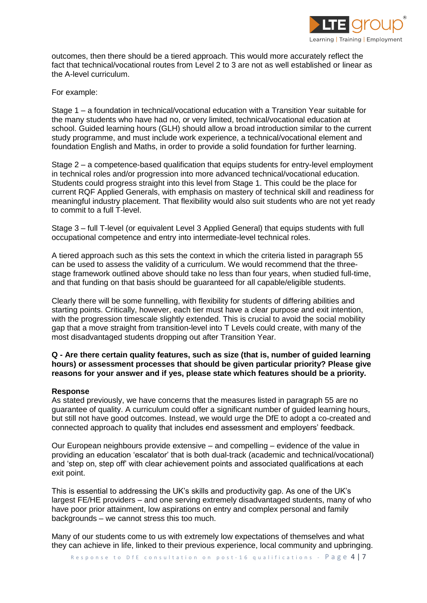

outcomes, then there should be a tiered approach. This would more accurately reflect the fact that technical/vocational routes from Level 2 to 3 are not as well established or linear as the A-level curriculum.

For example:

Stage 1 – a foundation in technical/vocational education with a Transition Year suitable for the many students who have had no, or very limited, technical/vocational education at school. Guided learning hours (GLH) should allow a broad introduction similar to the current study programme, and must include work experience, a technical/vocational element and foundation English and Maths, in order to provide a solid foundation for further learning.

Stage 2 – a competence-based qualification that equips students for entry-level employment in technical roles and/or progression into more advanced technical/vocational education. Students could progress straight into this level from Stage 1. This could be the place for current RQF Applied Generals, with emphasis on mastery of technical skill and readiness for meaningful industry placement. That flexibility would also suit students who are not yet ready to commit to a full T-level.

Stage 3 – full T-level (or equivalent Level 3 Applied General) that equips students with full occupational competence and entry into intermediate-level technical roles.

A tiered approach such as this sets the context in which the criteria listed in paragraph 55 can be used to assess the validity of a curriculum. We would recommend that the threestage framework outlined above should take no less than four years, when studied full-time, and that funding on that basis should be guaranteed for all capable/eligible students.

Clearly there will be some funnelling, with flexibility for students of differing abilities and starting points. Critically, however, each tier must have a clear purpose and exit intention, with the progression timescale slightly extended. This is crucial to avoid the social mobility gap that a move straight from transition-level into T Levels could create, with many of the most disadvantaged students dropping out after Transition Year.

## **Q - Are there certain quality features, such as size (that is, number of guided learning hours) or assessment processes that should be given particular priority? Please give reasons for your answer and if yes, please state which features should be a priority.**

#### **Response**

As stated previously, we have concerns that the measures listed in paragraph 55 are no guarantee of quality. A curriculum could offer a significant number of guided learning hours, but still not have good outcomes. Instead, we would urge the DfE to adopt a co-created and connected approach to quality that includes end assessment and employers' feedback.

Our European neighbours provide extensive – and compelling – evidence of the value in providing an education 'escalator' that is both dual-track (academic and technical/vocational) and 'step on, step off' with clear achievement points and associated qualifications at each exit point.

This is essential to addressing the UK's skills and productivity gap. As one of the UK's largest FE/HE providers – and one serving extremely disadvantaged students, many of who have poor prior attainment, low aspirations on entry and complex personal and family backgrounds – we cannot stress this too much.

Many of our students come to us with extremely low expectations of themselves and what they can achieve in life, linked to their previous experience, local community and upbringing.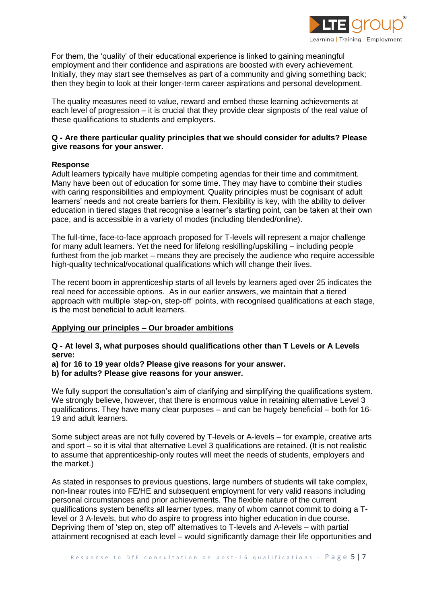

For them, the 'quality' of their educational experience is linked to gaining meaningful employment and their confidence and aspirations are boosted with every achievement. Initially, they may start see themselves as part of a community and giving something back; then they begin to look at their longer-term career aspirations and personal development.

The quality measures need to value, reward and embed these learning achievements at each level of progression – it is crucial that they provide clear signposts of the real value of these qualifications to students and employers.

## **Q - Are there particular quality principles that we should consider for adults? Please give reasons for your answer.**

## **Response**

Adult learners typically have multiple competing agendas for their time and commitment. Many have been out of education for some time. They may have to combine their studies with caring responsibilities and employment. Quality principles must be cognisant of adult learners' needs and not create barriers for them. Flexibility is key, with the ability to deliver education in tiered stages that recognise a learner's starting point, can be taken at their own pace, and is accessible in a variety of modes (including blended/online).

The full-time, face-to-face approach proposed for T-levels will represent a major challenge for many adult learners. Yet the need for lifelong reskilling/upskilling – including people furthest from the job market – means they are precisely the audience who require accessible high-quality technical/vocational qualifications which will change their lives.

The recent boom in apprenticeship starts of all levels by learners aged over 25 indicates the real need for accessible options. As in our earlier answers, we maintain that a tiered approach with multiple 'step-on, step-off' points, with recognised qualifications at each stage, is the most beneficial to adult learners.

# **Applying our principles – Our broader ambitions**

## **Q - At level 3, what purposes should qualifications other than T Levels or A Levels serve:**

# **a) for 16 to 19 year olds? Please give reasons for your answer.**

**b) for adults? Please give reasons for your answer.**

We fully support the consultation's aim of clarifying and simplifying the qualifications system. We strongly believe, however, that there is enormous value in retaining alternative Level 3 qualifications. They have many clear purposes – and can be hugely beneficial – both for 16- 19 and adult learners.

Some subject areas are not fully covered by T-levels or A-levels – for example, creative arts and sport – so it is vital that alternative Level 3 qualifications are retained. (It is not realistic to assume that apprenticeship-only routes will meet the needs of students, employers and the market.)

As stated in responses to previous questions, large numbers of students will take complex, non-linear routes into FE/HE and subsequent employment for very valid reasons including personal circumstances and prior achievements. The flexible nature of the current qualifications system benefits all learner types, many of whom cannot commit to doing a Tlevel or 3 A-levels, but who do aspire to progress into higher education in due course. Depriving them of 'step on, step off' alternatives to T-levels and A-levels – with partial attainment recognised at each level – would significantly damage their life opportunities and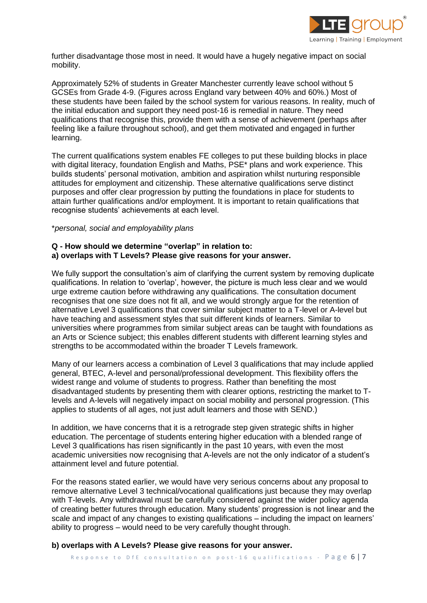

further disadvantage those most in need. It would have a hugely negative impact on social mobility.

Approximately 52% of students in Greater Manchester currently leave school without 5 GCSEs from Grade 4-9. (Figures across England vary between 40% and 60%.) Most of these students have been failed by the school system for various reasons. In reality, much of the initial education and support they need post-16 is remedial in nature. They need qualifications that recognise this, provide them with a sense of achievement (perhaps after feeling like a failure throughout school), and get them motivated and engaged in further learning.

The current qualifications system enables FE colleges to put these building blocks in place with digital literacy, foundation English and Maths, PSE\* plans and work experience. This builds students' personal motivation, ambition and aspiration whilst nurturing responsible attitudes for employment and citizenship. These alternative qualifications serve distinct purposes and offer clear progression by putting the foundations in place for students to attain further qualifications and/or employment. It is important to retain qualifications that recognise students' achievements at each level.

#### \**personal, social and employability plans*

## **Q - How should we determine "overlap" in relation to: a) overlaps with T Levels? Please give reasons for your answer.**

We fully support the consultation's aim of clarifying the current system by removing duplicate qualifications. In relation to 'overlap', however, the picture is much less clear and we would urge extreme caution before withdrawing any qualifications. The consultation document recognises that one size does not fit all, and we would strongly argue for the retention of alternative Level 3 qualifications that cover similar subject matter to a T-level or A-level but have teaching and assessment styles that suit different kinds of learners. Similar to universities where programmes from similar subject areas can be taught with foundations as an Arts or Science subject; this enables different students with different learning styles and strengths to be accommodated within the broader T Levels framework.

Many of our learners access a combination of Level 3 qualifications that may include applied general, BTEC, A-level and personal/professional development. This flexibility offers the widest range and volume of students to progress. Rather than benefiting the most disadvantaged students by presenting them with clearer options, restricting the market to Tlevels and A-levels will negatively impact on social mobility and personal progression. (This applies to students of all ages, not just adult learners and those with SEND.)

In addition, we have concerns that it is a retrograde step given strategic shifts in higher education. The percentage of students entering higher education with a blended range of Level 3 qualifications has risen significantly in the past 10 years, with even the most academic universities now recognising that A-levels are not the only indicator of a student's attainment level and future potential.

For the reasons stated earlier, we would have very serious concerns about any proposal to remove alternative Level 3 technical/vocational qualifications just because they may overlap with T-levels. Any withdrawal must be carefully considered against the wider policy agenda of creating better futures through education. Many students' progression is not linear and the scale and impact of any changes to existing qualifications – including the impact on learners' ability to progress – would need to be very carefully thought through.

## **b) overlaps with A Levels? Please give reasons for your answer.**